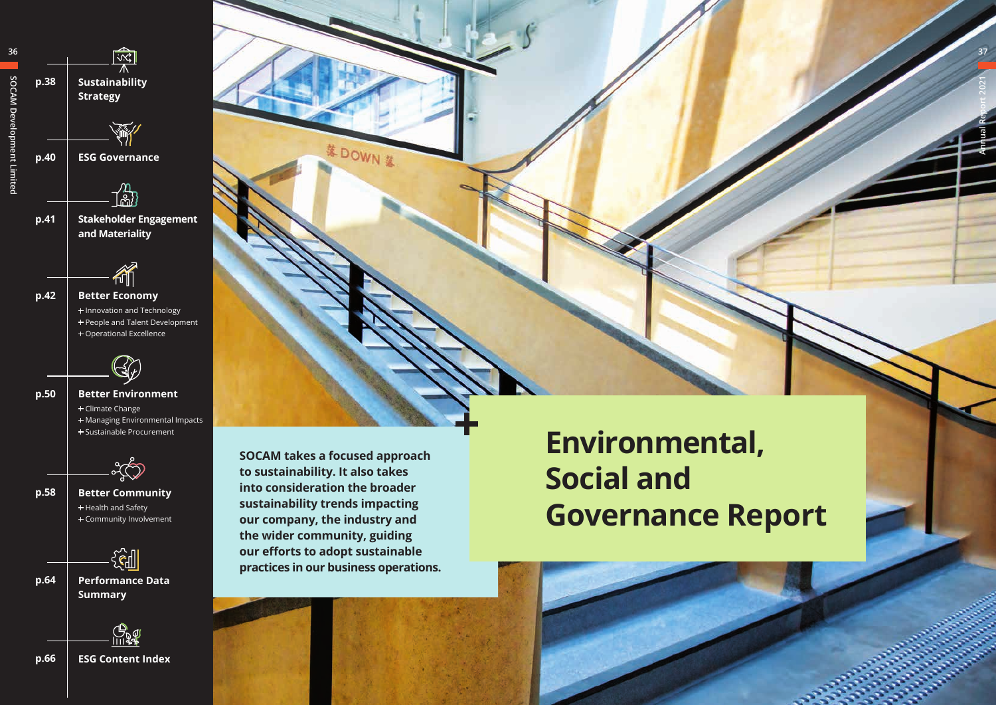

DOWN &







**Environmental, Social and Governance Report**





**37**

**Annual Report 2021**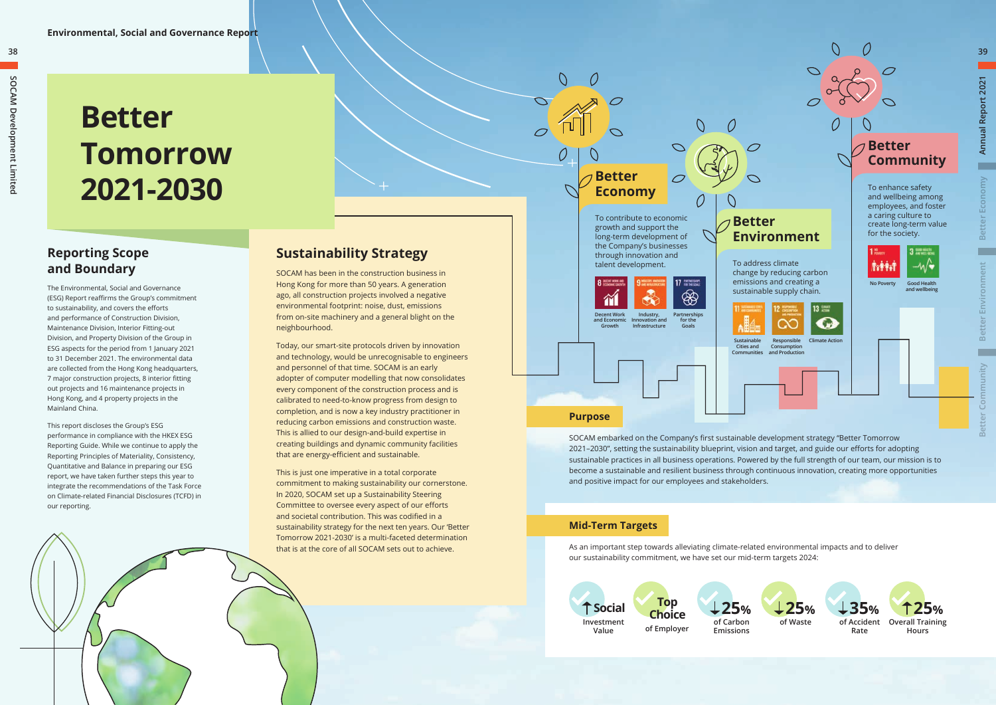### **Reporting Scope and Boundary**

The Environmental, Social and Governance (ESG) Report reaffirms the Group's commitment to sustainability, and covers the efforts and performance of Construction Division, Maintenance Division, Interior Fitting-out Division, and Property Division of the Group in ESG aspects for the period from 1 January 2021 to 31 December 2021. The environmental data are collected from the Hong Kong headquarters, 7 major construction projects, 8 interior fitting out projects and 16 maintenance projects in Hong Kong, and 4 property projects in the Mainland China.

This report discloses the Group's ESG performance in compliance with the HKEX ESG Reporting Guide. While we continue to apply the Reporting Principles of Materiality, Consistency, Quantitative and Balance in preparing our ESG report, we have taken further steps this year to integrate the recommendations of the Task Force on Climate-related Financial Disclosures (TCFD) in our reporting.

# **Better Tomorrow 2021-2030**

## **Sustainability Strategy**

SOCAM has been in the construction business in Hong Kong for more than 50 years. A generation ago, all construction projects involved a negative environmental footprint: noise, dust, emissions from on-site machinery and a general blight on the neighbourhood.

Today, our smart-site protocols driven by innovation and technology, would be unrecognisable to engineers and personnel of that time. SOCAM is an early adopter of computer modelling that now consolidates every component of the construction process and is calibrated to need-to-know progress from design to completion, and is now a key industry practitioner in reducing carbon emissions and construction waste. This is allied to our design-and-build expertise in creating buildings and dynamic community facilities that are energy-efficient and sustainable.

This is just one imperative in a total corporate commitment to making sustainability our cornerstone. In 2020, SOCAM set up a Sustainability Steering Committee to oversee every aspect of our efforts and societal contribution. This was codified in a sustainability strategy for the next ten years. Our 'Better Tomorrow 2021-2030' is a multi-faceted determination that is at the core of all SOCAM sets out to achieve.

**38**

**Better** 

 $\mathcal O$ 

**Economy**

To contribute to economic growth and support the long-term development of the Company's businesses through innovation and talent development. To address climate



SOCAM embarked on the Company's first sustainable development strategy "Better Tomorrow 2021–2030", setting the sustainability blueprint, vision and target, and guide our efforts for adopting sustainable practices in all business operations. Powered by the full strength of our team, our mission is to become a sustainable and resilient business through continuous innovation, creating more opportunities and positive impact for our employees and stakeholders.



As an important step towards alleviating climate-related environmental impacts and to deliver our sustainability commitment, we have set our mid-term targets 2024:

### **Mid-Term Targets**

**and Economic Growth**



**Innovation and Infrastructure**



**for the Goals**

Ô







**39**

**Annual Report 2021**

Annual Report 2021

**Better Economy**

**Better** 

Economy

**Better Environment**

**Better Community**

atter

Community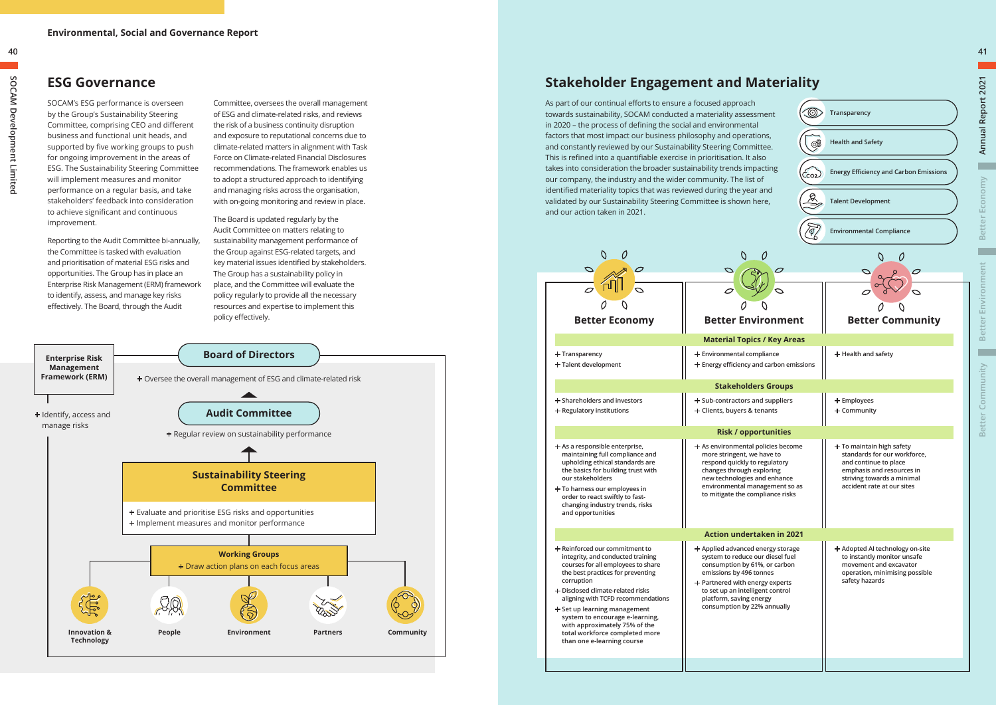

### **ESG Governance**

Committee, oversees the overall management of ESG and climate-related risks, and reviews the risk of a business continuity disruption and exposure to reputational concerns due to climate-related matters in alignment with Task Force on Climate-related Financial Disclosures recommendations. The framework enables us to adopt a structured approach to identifying and managing risks across the organisation, with on-going monitoring and review in place.

The Board is updated regularly by the Audit Committee on matters relating to sustainability management performance of the Group against ESG-related targets, and key material issues identified by stakeholders. The Group has a sustainability policy in place, and the Committee will evaluate the policy regularly to provide all the necessary resources and expertise to implement this policy effectively.

SOCAM's ESG performance is overseen by the Group's Sustainability Steering Committee, comprising CEO and different business and functional unit heads, and supported by five working groups to push for ongoing improvement in the areas of ESG. The Sustainability Steering Committee will implement measures and monitor performance on a regular basis, and take stakeholders' feedback into consideration to achieve significant and continuous improvement.

Reporting to the Audit Committee bi-annually, the Committee is tasked with evaluation and prioritisation of material ESG risks and opportunities. The Group has in place an Enterprise Risk Management (ERM) framework to identify, assess, and manage key risks effectively. The Board, through the Audit

## **Stakeholder Engagement and Materiality**

As part of our continual efforts to ensure a focused approach towards sustainability, SOCAM conducted a materiality assessment in 2020 – the process of defining the social and environmental factors that most impact our business philosophy and operations, and constantly reviewed by our Sustainability Steering Committee. This is refined into a quantifiable exercise in prioritisation. It also takes into consideration the broader sustainability trends impacting our company, the industry and the wider community. The list of identified materiality topics that was reviewed during the year and validated by our Sustainability Steering Committee is shown here, and our action taken in 2021.



| <b>Better Economy</b>                                                                                                                                                                                                                                                                                                                                                                                             | Better Env<br><b>Material Topio</b>                                                                                                                                          |
|-------------------------------------------------------------------------------------------------------------------------------------------------------------------------------------------------------------------------------------------------------------------------------------------------------------------------------------------------------------------------------------------------------------------|------------------------------------------------------------------------------------------------------------------------------------------------------------------------------|
| $+$ Transparency<br>$+$ Talent development                                                                                                                                                                                                                                                                                                                                                                        | + Environmental cor<br>$+$ Energy efficiency a                                                                                                                               |
|                                                                                                                                                                                                                                                                                                                                                                                                                   | <b>Stakeholde</b>                                                                                                                                                            |
| $+$ Shareholders and investors<br>$+$ Regulatory institutions                                                                                                                                                                                                                                                                                                                                                     | $+$ Sub-contractors a<br>+ Clients, buyers &                                                                                                                                 |
|                                                                                                                                                                                                                                                                                                                                                                                                                   | Risk / opp                                                                                                                                                                   |
| $+$ As a responsible enterprise,<br>maintaining full compliance and<br>upholding ethical standards are<br>the basics for building trust with<br>our stakeholders<br>$+$ To harness our employees in<br>order to react swiftly to fast-<br>changing industry trends, risks<br>and opportunities                                                                                                                    | $+$ As environmental<br>more stringent, w<br>respond quickly to<br>changes through o<br>new technologies<br>environmental ma<br>to mitigate the cor                          |
|                                                                                                                                                                                                                                                                                                                                                                                                                   | <b>Action undert</b>                                                                                                                                                         |
| $+$ Reinforced our commitment to<br>integrity, and conducted training<br>courses for all employees to share<br>the best practices for preventing<br>corruption<br>$+$ Disclosed climate-related risks<br>aligning with TCFD recommendations<br>$+$ Set up learning management<br>system to encourage e-learning,<br>with approximately 75% of the<br>total workforce completed more<br>than one e-learning course | $+$ Applied advanced<br>system to reduce<br>consumption by 6<br>emissions by 4961<br>$+$ Partnered with en<br>to set up an intelli<br>platform, saving e<br>consumption by 2 |
|                                                                                                                                                                                                                                                                                                                                                                                                                   |                                                                                                                                                                              |

**Annual Report 2021**

**Better Economy**

**Better** 

 $\frac{1}{2}$ 

Economy

**Better Environment**

**Better Community**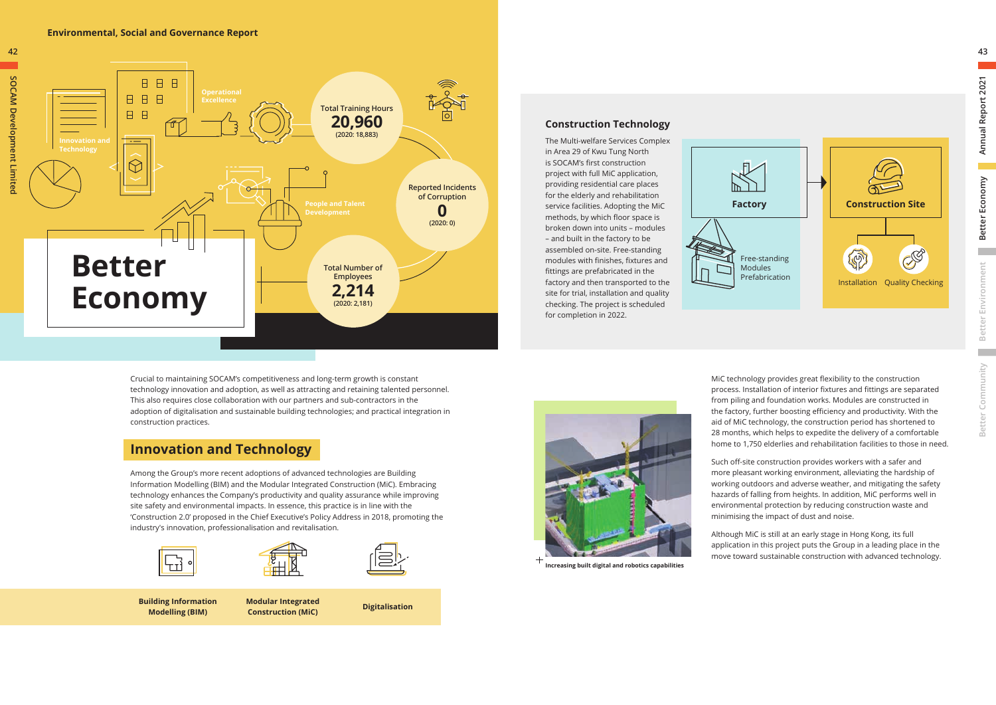Crucial to maintaining SOCAM's competitiveness and long-term growth is constant technology innovation and adoption, as well as attracting and retaining talented personnel. This also requires close collaboration with our partners and sub-contractors in the adoption of digitalisation and sustainable building technologies; and practical integration in construction practices.



Among the Group's more recent adoptions of advanced technologies are Building Information Modelling (BIM) and the Modular Integrated Construction (MiC). Embracing technology enhances the Company's productivity and quality assurance while improving site safety and environmental impacts. In essence, this practice is in line with the 'Construction 2.0' proposed in the Chief Executive's Policy Address in 2018, promoting the industry's innovation, professionalisation and revitalisation.





### **Innovation and Technology**

**Building Information Modelling (BIM)**

**Modular Integrated Construction (MiC) Digitalisation**



### **Environmental, Social and Governance Report**





**Increasing built digital and robotics capabilities**

MiC technology provides great flexibility to the construction process. Installation of interior fixtures and fittings are separated from piling and foundation works. Modules are constructed in the factory, further boosting efficiency and productivity. With the aid of MiC technology, the construction period has shortened to 28 months, which helps to expedite the delivery of a comfortable home to 1,750 elderlies and rehabilitation facilities to those in need.

Such off-site construction provides workers with a safer and more pleasant working environment, alleviating the hardship of working outdoors and adverse weather, and mitigating the safety hazards of falling from heights. In addition, MiC performs well in environmental protection by reducing construction waste and minimising the impact of dust and noise.

Although MiC is still at an early stage in Hong Kong, its full application in this project puts the Group in a leading place in the move toward sustainable construction with advanced technology.

### **Construction Technology**

The Multi-welfare Services Complex in Area 29 of Kwu Tung North is SOCAM's first construction project with full MiC application, providing residential care places for the elderly and rehabilitation service facilities. Adopting the MiC methods, by which floor space is broken down into units – modules – and built in the factory to be assembled on-site. Free-standing modules with finishes, fixtures and fittings are prefabricated in the factory and then transported to the site for trial, installation and quality checking. The project is scheduled for completion in 2022.

**Annual Report 2021**

Annual Report 2021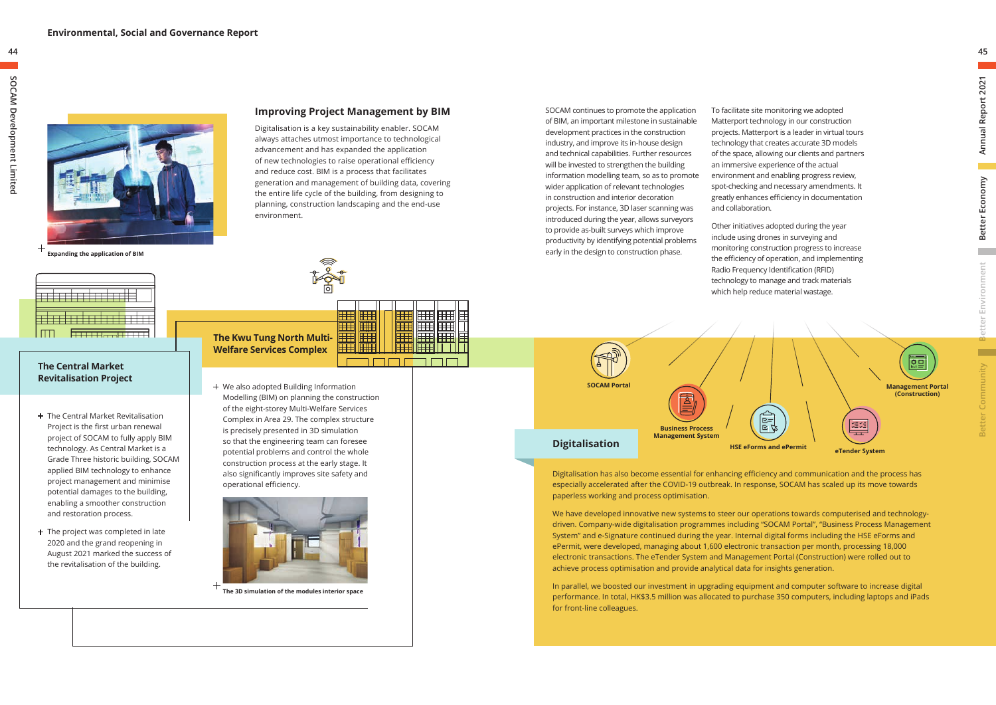

**Expanding the application of BIM**

+ We also adopted Building Information Modelling (BIM) on planning the construction of the eight-storey Multi-Welfare Services Complex in Area 29. The complex structure is precisely presented in 3D simulation so that the engineering team can foresee potential problems and control the whole construction process at the early stage. It also significantly improves site safety and operational efficiency.



- + The Central Market Revitalisation Project is the first urban renewal project of SOCAM to fully apply BIM technology. As Central Market is a Grade Three historic building, SOCAM applied BIM technology to enhance project management and minimise potential damages to the building, enabling a smoother construction and restoration process.
- + The project was completed in late 2020 and the grand reopening in August 2021 marked the success of the revitalisation of the building.

### **Improving Project Management by BIM**

Digitalisation is a key sustainability enabler. SOCAM always attaches utmost importance to technological advancement and has expanded the application of new technologies to raise operational efficiency and reduce cost. BIM is a process that facilitates generation and management of building data, covering the entire life cycle of the building, from designing to planning, construction landscaping and the end-use environment.



FIL

### **The Kwu Tung North Multi-Welfare Services Complex**

#### **The Central Market Revitalisation Project**

**The 3D simulation of the modules interior space**

SOCAM continues to promote the application of BIM, an important milestone in sustainable development practices in the construction industry, and improve its in-house design and technical capabilities. Further resources will be invested to strengthen the building information modelling team, so as to promote wider application of relevant technologies in construction and interior decoration projects. For instance, 3D laser scanning was introduced during the year, allows surveyors to provide as-built surveys which improve productivity by identifying potential problems early in the design to construction phase.

## **SOCAM Portal** द्वि **Business Process Management System Digitalisation HSE eForms and ePermit**

海里 **Management Portal (Construction)**  $\begin{array}{c} \boxed{\mathbb{R}^+} \\ \hline \mathbb{R}^+ \\ \end{array}$ 雑雑 **eTender System**

**COL** 

▅

To facilitate site monitoring we adopted Matterport technology in our construction projects. Matterport is a leader in virtual tours technology that creates accurate 3D models of the space, allowing our clients and partners an immersive experience of the actual environment and enabling progress review, spot-checking and necessary amendments. It greatly enhances efficiency in documentation and collaboration.

Other initiatives adopted during the year include using drones in surveying and monitoring construction progress to increase the efficiency of operation, and implementing Radio Frequency Identification (RFID) technology to manage and track materials which help reduce material wastage.

Digitalisation has also become essential for enhancing efficiency and communication and the process has especially accelerated after the COVID-19 outbreak. In response, SOCAM has scaled up its move towards paperless working and process optimisation.

We have developed innovative new systems to steer our operations towards computerised and technologydriven. Company-wide digitalisation programmes including "SOCAM Portal", "Business Process Management System" and e-Signature continued during the year. Internal digital forms including the HSE eForms and ePermit, were developed, managing about 1,600 electronic transaction per month, processing 18,000 electronic transactions. The eTender System and Management Portal (Construction) were rolled out to achieve process optimisation and provide analytical data for insights generation.

In parallel, we boosted our investment in upgrading equipment and computer software to increase digital performance. In total, HK\$3.5 million was allocated to purchase 350 computers, including laptops and iPads for front-line colleagues.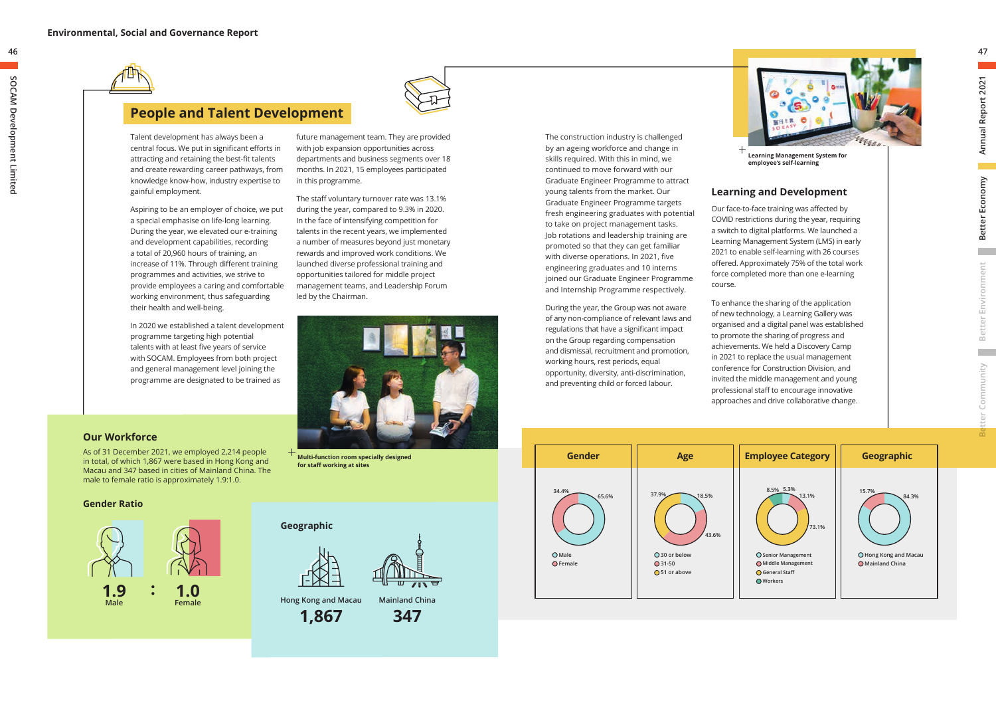### **People and Talent Development**

future management team. They are provided with job expansion opportunities across departments and business segments over 18 months. In 2021, 15 employees participated in this programme.

The staff voluntary turnover rate was 13.1% during the year, compared to 9.3% in 2020. In the face of intensifying competition for talents in the recent years, we implemented a number of measures beyond just monetary rewards and improved work conditions. We launched diverse professional training and opportunities tailored for middle project management teams, and Leadership Forum led by the Chairman.

Talent development has always been a central focus. We put in significant efforts in attracting and retaining the best-fit talents and create rewarding career pathways, from knowledge know-how, industry expertise to gainful employment.

Aspiring to be an employer of choice, we put a special emphasise on life-long learning. During the year, we elevated our e-training and development capabilities, recording a total of 20,960 hours of training, an increase of 11%. Through different training programmes and activities, we strive to provide employees a caring and comfortable working environment, thus safeguarding their health and well-being.

In 2020 we established a talent development programme targeting high potential talents with at least five years of service with SOCAM. Employees from both project and general management level joining the programme are designated to be trained as

### **Our Workforce**

As of 31 December 2021, we employed 2,214 people in total, of which 1,867 were based in Hong Kong and Macau and 347 based in cities of Mainland China. The male to female ratio is approximately 1.9:1.0.



**Hong Kong and Macau**

**1,867**



**Mainland China**

**347**

**Gender Ratio**

**: 1.0 Female**

**1.9 Male**



### **for staff working at sites**

**46**



 $\mathcal{L}^{\text{max}}$ 





The construction industry is challenged by an ageing workforce and change in skills required. With this in mind, we continued to move forward with our Graduate Engineer Programme to attract young talents from the market. Our Graduate Engineer Programme targets fresh engineering graduates with potential to take on project management tasks. Job rotations and leadership training are promoted so that they can get familiar with diverse operations. In 2021, five engineering graduates and 10 interns joined our Graduate Engineer Programme and Internship Programme respectively.



During the year, the Group was not aware of any non-compliance of relevant laws and regulations that have a significant impact on the Group regarding compensation and dismissal, recruitment and promotion, working hours, rest periods, equal opportunity, diversity, anti-discrimination, and preventing child or forced labour.

### **Learning and Development**

Our face-to-face training was affected by COVID restrictions during the year, requiring a switch to digital platforms. We launched a Learning Management System (LMS) in early 2021 to enable self-learning with 26 courses offered. Approximately 75% of the total work force completed more than one e-learning

course.

To enhance the sharing of the application of new technology, a Learning Gallery was organised and a digital panel was established to promote the sharing of progress and achievements. We held a Discovery Camp in 2021 to replace the usual management conference for Construction Division, and invited the middle management and young professional staff to encourage innovative approaches and drive collaborative change.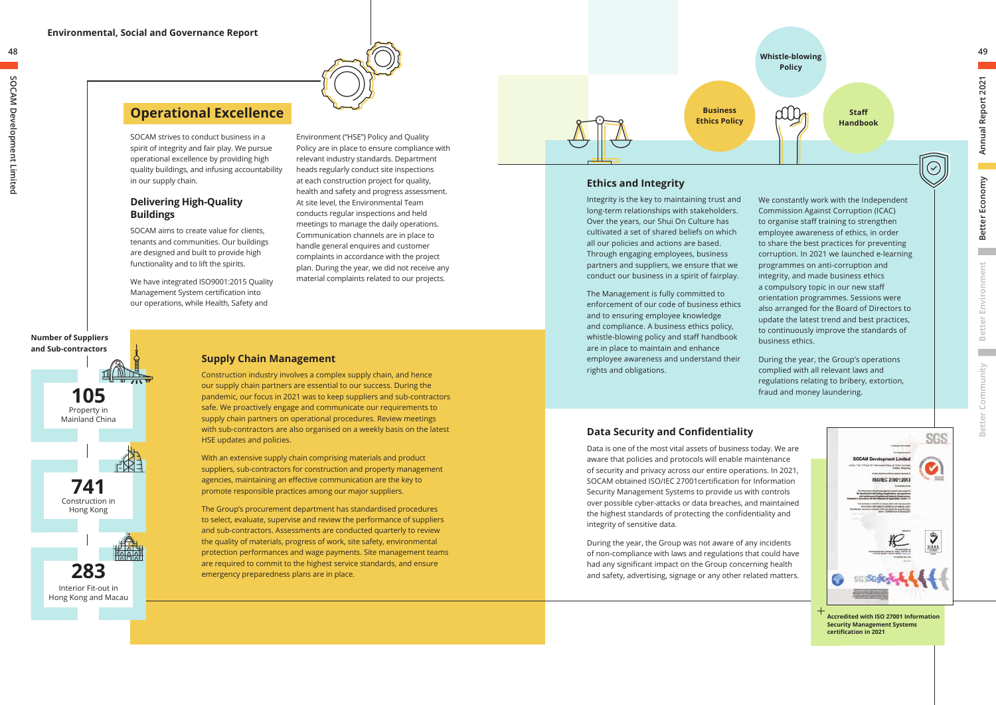

SOCAM strives to conduct business in a spirit of integrity and fair play. We pursue operational excellence by providing high quality buildings, and infusing accountability in our supply chain.

We have integrated ISO9001:2015 Ouality Management System certification into our operations, while Health, Safety and

### **Delivering High-Quality Buildings**

SOCAM aims to create value for clients, tenants and communities. Our buildings are designed and built to provide high functionality and to lift the spirits.

Environment ("HSE") Policy and Quality Policy are in place to ensure compliance with relevant industry standards. Department heads regularly conduct site inspections at each construction project for quality, health and safety and progress assessment. At site level, the Environmental Team conducts regular inspections and held meetings to manage the daily operations. Communication channels are in place to handle general enquires and customer complaints in accordance with the project plan. During the year, we did not receive any material complaints related to our projects.

### **Operational Excellence**

### **Supply Chain Management**

Construction industry involves a complex supply chain, and hence our supply chain partners are essential to our success. During the pandemic, our focus in 2021 was to keep suppliers and sub-contractors safe. We proactively engage and communicate our requirements to supply chain partners on operational procedures. Review meetings with sub-contractors are also organised on a weekly basis on the latest HSE updates and policies.

With an extensive supply chain comprising materials and product suppliers, sub-contractors for construction and property management agencies, maintaining an effective communication are the key to promote responsible practices among our major suppliers.

The Group's procurement department has standardised procedures to select, evaluate, supervise and review the performance of suppliers and sub-contractors. Assessments are conducted quarterly to review the quality of materials, progress of work, site safety, environmental protection performances and wage payments. Site management teams are required to commit to the highest service standards, and ensure emergency preparedness plans are in place.

#### **Number of Suppliers and Sub-contractors**





**Security Management Systems certification in 2021**

### **Data Security and Confidentiality**

Data is one of the most vital assets of business today. We are aware that policies and protocols will enable maintenance of security and privacy across our entire operations. In 2021, SOCAM obtained ISO/IEC 27001certification for Information Security Management Systems to provide us with controls over possible cyber-attacks or data breaches, and maintained the highest standards of protecting the confidentiality and integrity of sensitive data.

During the year, the Group was not aware of any incidents of non-compliance with laws and regulations that could have had any significant impact on the Group concerning health and safety, advertising, signage or any other related matters.

### **Ethics and Integrity**

Integrity is the key to maintaining trust and long-term relationships with stakeholders. Over the years, our Shui On Culture has cultivated a set of shared beliefs on which all our policies and actions are based. Through engaging employees, business partners and suppliers, we ensure that we conduct our business in a spirit of fairplay.

The Management is fully committed to enforcement of our code of business ethics and to ensuring employee knowledge and compliance. A business ethics policy, whistle-blowing policy and staff handbook are in place to maintain and enhance employee awareness and understand their rights and obligations.

to organise staff training to strengthen employee awareness of ethics, in order to share the best practices for preventing corruption. In 2021 we launched e-learning programmes on anti-corruption and integrity, and made business ethics a compulsory topic in our new staff orientation programmes. Sessions were also arranged for the Board of Directors to update the latest trend and best practices, to continuously improve the standards of business ethics.



During the year, the Group's operations complied with all relevant laws and regulations relating to bribery, extortion, fraud and money laundering.

**Business Ethics Policy**

**Better Environment**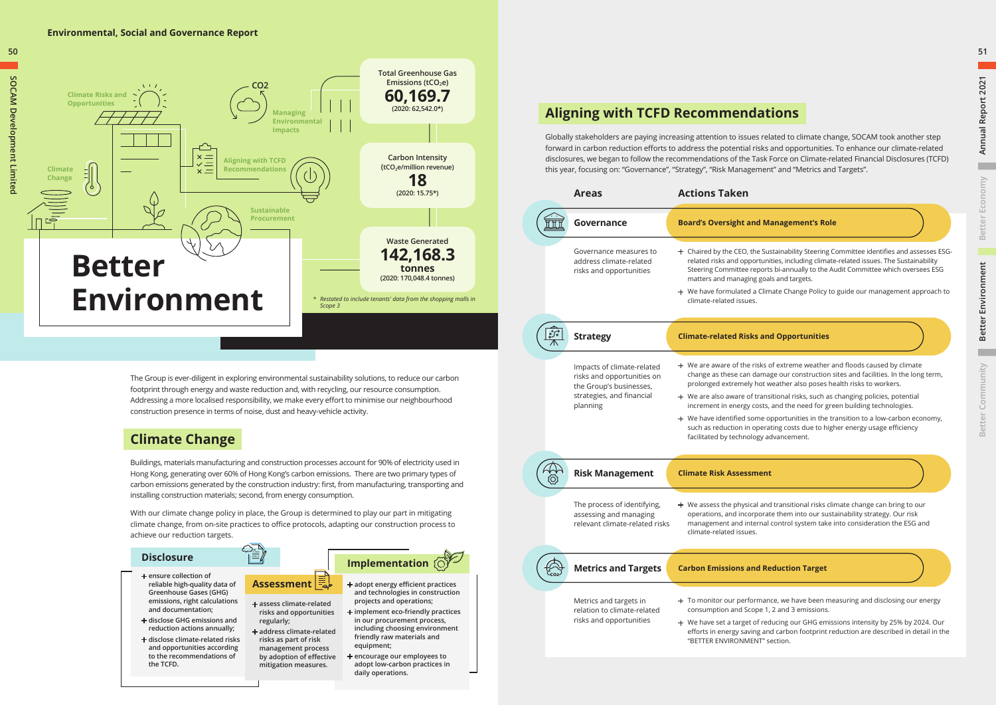

### **Climate Change**

Buildings, materials manufacturing and construction processes account for 90% of electricity used in Hong Kong, generating over 60% of Hong Kong's carbon emissions. There are two primary types of carbon emissions generated by the construction industry: first, from manufacturing, transporting and installing construction materials; second, from energy consumption.

With our climate change policy in place, the Group is determined to play our part in mitigating climate change, from on-site practices to office protocols, adapting our construction process to achieve our reduction targets.

The Group is ever-diligent in exploring environmental sustainability solutions, to reduce our carbon footprint through energy and waste reduction and, with recycling, our resource consumption. Addressing a more localised responsibility, we make every effort to minimise our neighbourhood construction presence in terms of noise, dust and heavy-vehicle activity.



#### **d Management's Role**

he Sustainability Steering Committee identifies and assesses ESGortunities, including climate-related issues. The Sustainability eports bi-annually to the Audit Committee which oversees ESG g goals and targets.

Climate Change Policy to guide our management approach to

#### **Sand Opportunities**

risks of extreme weather and floods caused by climate damage our construction sites and facilities. In the long term, hot weather also poses health risks to workers.

transitional risks, such as changing policies, potential costs, and the need for green building technologies.

me opportunities in the transition to a low-carbon economy, pperating costs due to higher energy usage efficiency gy advancement.

al and transitional risks climate change can bring to our porate them into our sustainability strategy. Our risk ernal control system take into consideration the ESG and

#### **Environmental, Social and Governance Report**

 $\mathbf{r}$ 

| Areas                                                                                                                        | <b>Actions Taken</b>                                                                                                                                                                                                                                       |
|------------------------------------------------------------------------------------------------------------------------------|------------------------------------------------------------------------------------------------------------------------------------------------------------------------------------------------------------------------------------------------------------|
| <b>Governance</b>                                                                                                            | <b>Board's Oversight and Ma</b>                                                                                                                                                                                                                            |
| Governance measures to<br>address climate-related<br>risks and opportunities                                                 | + Chaired by the CEO, the Sus<br>related risks and opportuni<br><b>Steering Committee reports</b><br>matters and managing goal<br>+ We have formulated a Clim<br>climate-related issues.                                                                   |
| <b>Strategy</b>                                                                                                              | <b>Climate-related Risks and</b>                                                                                                                                                                                                                           |
| Impacts of climate-related<br>risks and opportunities on<br>the Group's businesses,<br>strategies, and financial<br>planning | $+$ We are aware of the risks c<br>change as these can damag<br>prolonged extremely hot w<br>$+$ We are also aware of trans<br>increment in energy costs,<br>$+$ We have identified some of<br>such as reduction in operat<br>facilitated by technology ao |
| <b>Risk Management</b>                                                                                                       | <b>Climate Risk Assessment</b>                                                                                                                                                                                                                             |
| The process of identifying,<br>assessing and managing<br>relevant climate-related risks                                      | $+$ We assess the physical and<br>operations, and incorporat<br>management and internal<br>climate-related issues.                                                                                                                                         |
|                                                                                                                              |                                                                                                                                                                                                                                                            |
| <b>Metrics and Targets</b>                                                                                                   | <b>Carbon Emissions and Re</b>                                                                                                                                                                                                                             |
|                                                                                                                              |                                                                                                                                                                                                                                                            |

#### **Metrics and Targets Carbon Emissions and Reduction Target**

rmance, we have been measuring and disclosing our energy ope 1, 2 and 3 emissions.

of reducing our GHG emissions intensity by 25% by 2024. Our ng and carbon footprint reduction are described in detail in the NT" section.

### **Aligning with TCFD Recommendations**

Globally stakeholders are paying increasing attention to issues related to climate change, SOCAM took another step forward in carbon reduction efforts to address the potential risks and opportunities. To enhance our climate-related disclosures, we began to follow the recommendations of the Task Force on Climate-related Financial Disclosures (TCFD) this year, focusing on: "Governance", "Strategy", "Risk Management" and "Metrics and Targets".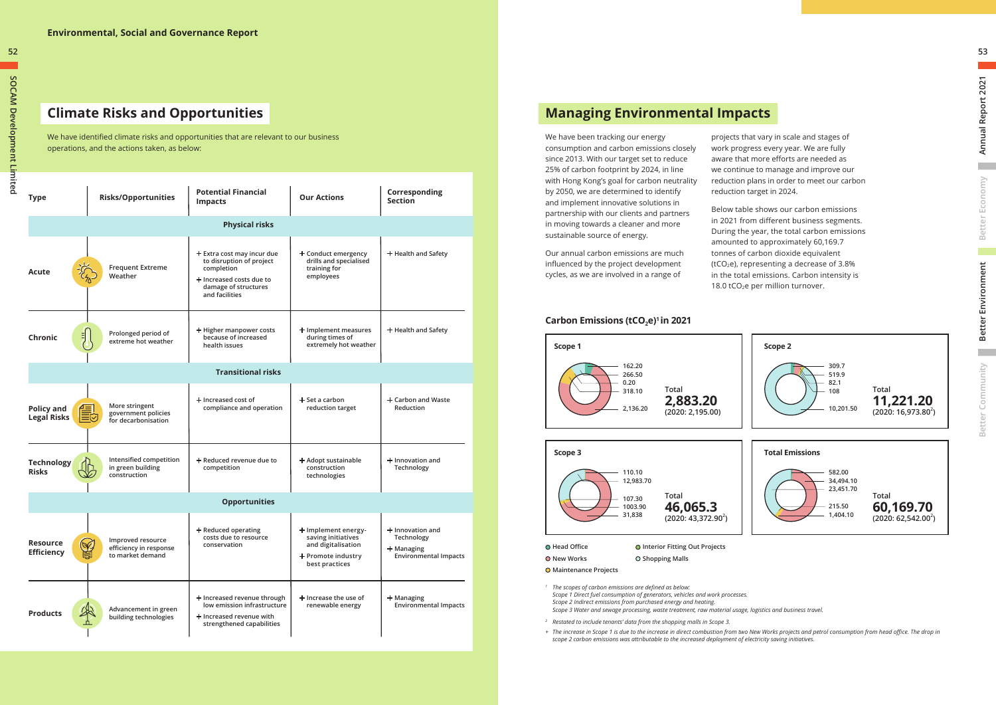## **Climate Risks and Opportunities**

We have identified climate risks and opportunities that are relevant to our business operations, and the actions taken, as below:

| <b>Type</b>                             | <b>Risks/Opportunities</b>                                                         | <b>Potential Financial</b><br><b>Impacts</b>                                                                                                 | <b>Our Actions</b>                                                                                      | Corresponding<br><b>Section</b>                                              |
|-----------------------------------------|------------------------------------------------------------------------------------|----------------------------------------------------------------------------------------------------------------------------------------------|---------------------------------------------------------------------------------------------------------|------------------------------------------------------------------------------|
|                                         |                                                                                    | <b>Physical risks</b>                                                                                                                        |                                                                                                         |                                                                              |
| Acute                                   | <b>Frequent Extreme</b><br>Weather                                                 | $+$ Extra cost may incur due<br>to disruption of project<br>completion<br>+ Increased costs due to<br>damage of structures<br>and facilities | + Conduct emergency<br>drills and specialised<br>training for<br>employees                              | + Health and Safety                                                          |
| 킈<br>Chronic                            | Prolonged period of<br>extreme hot weather                                         | + Higher manpower costs<br>because of increased<br>health issues                                                                             | + Implement measures<br>during times of<br>extremely hot weather                                        | $+$ Health and Safety                                                        |
|                                         |                                                                                    | <b>Transitional risks</b>                                                                                                                    |                                                                                                         |                                                                              |
| <b>Policy and</b><br><b>Legal Risks</b> | More stringent<br>ੂੰ ਵਾਲੇ<br>ਜ਼ਿਲ੍ਹੇ<br>government policies<br>for decarbonisation | + Increased cost of<br>compliance and operation                                                                                              | $+$ Set a carbon<br>reduction target                                                                    | $+$ Carbon and Waste<br>Reduction                                            |
| <b>Technology</b><br><b>Risks</b>       | Intensified competition<br>in green building<br>construction                       | + Reduced revenue due to<br>competition                                                                                                      | + Adopt sustainable<br>construction<br>technologies                                                     | $+$ Innovation and<br>Technology                                             |
|                                         |                                                                                    | <b>Opportunities</b>                                                                                                                         |                                                                                                         |                                                                              |
| <b>Resource</b><br><b>Efficiency</b>    | Improved resource<br>$\infty$<br>efficiency in response<br>ē<br>to market demand   | $+$ Reduced operating<br>costs due to resource<br>conservation                                                                               | + Implement energy-<br>saving initiatives<br>and digitalisation<br>+ Promote industry<br>best practices | + Innovation and<br>Technology<br>+ Managing<br><b>Environmental Impacts</b> |
| <b>Products</b>                         | Advancement in green<br>building technologies                                      | + Increased revenue through<br>low emission infrastructure<br>+ Increased revenue with<br>strengthened capabilities                          | $+$ Increase the use of<br>renewable energy                                                             | $+$ Managing<br><b>Environmental Impacts</b>                                 |

Below table shows our carbon emissions in 2021 from different business segments. During the year, the total carbon emissions amounted to approximately 60,169.7 tonnes of carbon dioxide equivalent (tCO<sub>2</sub>e), representing a decrease of  $3.8\%$ in the total emissions. Carbon intensity is 18.0 tCO<sub>2</sub>e per million turnover.

### **Carbon Emissions (tCO<sub>2</sub>e)<sup>1</sup> in 2021**

**52**





 $\overline{\phantom{a}}$ 

 $\mathcal{L}^{\text{max}}$ 

### **Managing Environmental Impacts**

We have been tracking our energy consumption and carbon emissions closely since 2013. With our target set to reduce 25% of carbon footprint by 2024, in line with Hong Kong's goal for carbon neutrality by 2050, we are determined to identify and implement innovative solutions in partnership with our clients and partners in moving towards a cleaner and more sustainable source of energy.

Our annual carbon emissions are much influenced by the project development cycles, as we are involved in a range of



projects that vary in scale and stages of work progress every year. We are fully aware that more efforts are needed as we continue to manage and improve our reduction plans in order to meet our carbon reduction target in 2024.

- *<sup>2</sup> Restated to include tenants' data from the shopping malls in Scope 3.*
- *+ The increase in Scope 1 is due to the increase in direct combustion from two New Works projects and petrol consumption from head office. The drop in scope 2 carbon emissions was attributable to the increased deployment of electricity saving initiatives.*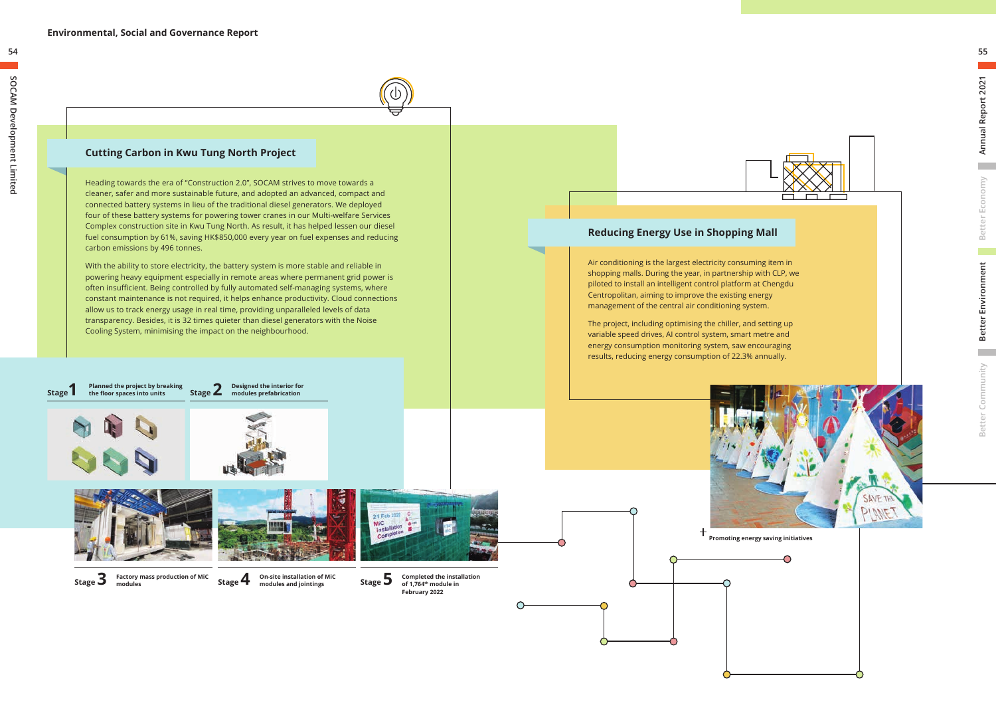### **Cutting Carbon in Kwu Tung North Project**

Heading towards the era of "Construction 2.0", SOCAM strives to move towards a cleaner, safer and more sustainable future, and adopted an advanced, compact and connected battery systems in lieu of the traditional diesel generators. We deployed four of these battery systems for powering tower cranes in our Multi-welfare Services Complex construction site in Kwu Tung North. As result, it has helped lessen our diesel fuel consumption by 61%, saving HK\$850,000 every year on fuel expenses and reducing carbon emissions by 496 tonnes.

With the ability to store electricity, the battery system is more stable and reliable in powering heavy equipment especially in remote areas where permanent grid power is often insufficient. Being controlled by fully automated self-managing systems, where constant maintenance is not required, it helps enhance productivity. Cloud connections allow us to track energy usage in real time, providing unparalleled levels of data transparency. Besides, it is 32 times quieter than diesel generators with the Noise Cooling System, minimising the impact on the neighbourhood.

**Stage 1 Planned the project by breaking 2 Stage 2** 



m.

**the floor spaces into units**

**Designed the interior for** 









**modules**



**Completed the installation of 1,764th module in February 2022**

**54**







Air conditioning is the largest electricity consuming item in shopping malls. During the year, in partnership with CLP, we piloted to install an intelligent control platform at Chengdu Centropolitan, aiming to improve the existing energy management of the central air conditioning system.

The project, including optimising the chiller, and setting up variable speed drives, AI control system, smart metre and energy consumption monitoring system, saw encouraging results, reducing energy consumption of 22.3% annually.

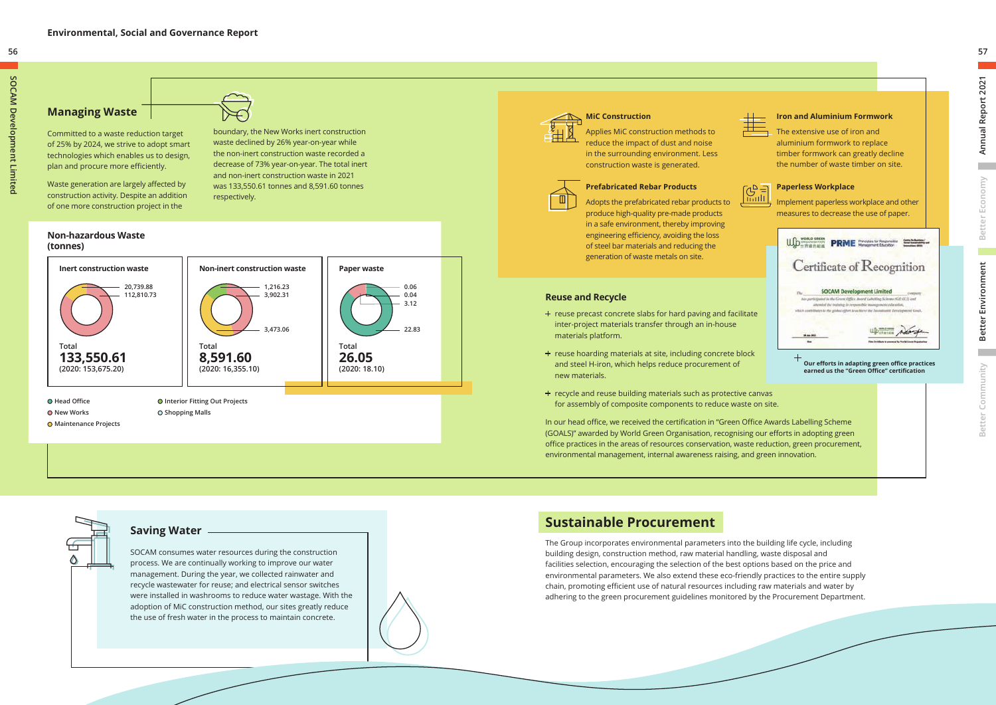### SOCAM consumes water resources during the construction process. We are continually working to improve our water management. During the year, we collected rainwater and recycle wastewater for reuse; and electrical sensor switches were installed in washrooms to reduce water wastage. With the adoption of MiC construction method, our sites greatly reduce the use of fresh water in the process to maintain concrete. **Saving Water**





### **Managing Waste**

Committed to a waste reduction target of 25% by 2024, we strive to adopt smart technologies which enables us to design, plan and procure more efficiently.

Waste generation are largely affected by construction activity. Despite an addition of one more construction project in the

boundary, the New Works inert construction waste declined by 26% year-on-year while

the non-inert construction waste recorded a decrease of 73% year-on-year. The total inert and non-inert construction waste in 2021 was 133,550.61 tonnes and 8,591.60 tonnes respectively.

- + reuse precast concrete slabs for hard paving and facilitate inter-project materials transfer through an in-house materials platform.
- + reuse hoarding materials at site, including concrete block and steel H-iron, which helps reduce procurement of new materials.
- + recycle and reuse building materials such as protective canvas for assembly of composite components to reduce waste on site.

#### **Non-hazardous Waste (tonnes)**

## **MiC Construction**

Applies MiC construction methods to reduce the impact of dust and noise in the surrounding environment. Less construction waste is generated.



#### **Prefabricated Rebar Products**

Adopts the prefabricated rebar products to produce high-quality pre-made products in a safe environment, thereby improving engineering efficiency, avoiding the loss of steel bar materials and reducing the generation of waste metals on site.

**College** 

### **Reuse and Recycle**



In our head office, we received the certification in "Green Office Awards Labelling Scheme (GOALS)" awarded by World Green Organisation, recognising our efforts in adopting green office practices in the areas of resources conservation, waste reduction, green procurement, environmental management, internal awareness raising, and green innovation.

### **Sustainable Procurement**

The Group incorporates environmental parameters into the building life cycle, including building design, construction method, raw material handling, waste disposal and facilities selection, encouraging the selection of the best options based on the price and environmental parameters. We also extend these eco-friendly practices to the entire supply chain, promoting efficient use of natural resources including raw materials and water by adhering to the green procurement guidelines monitored by the Procurement Department.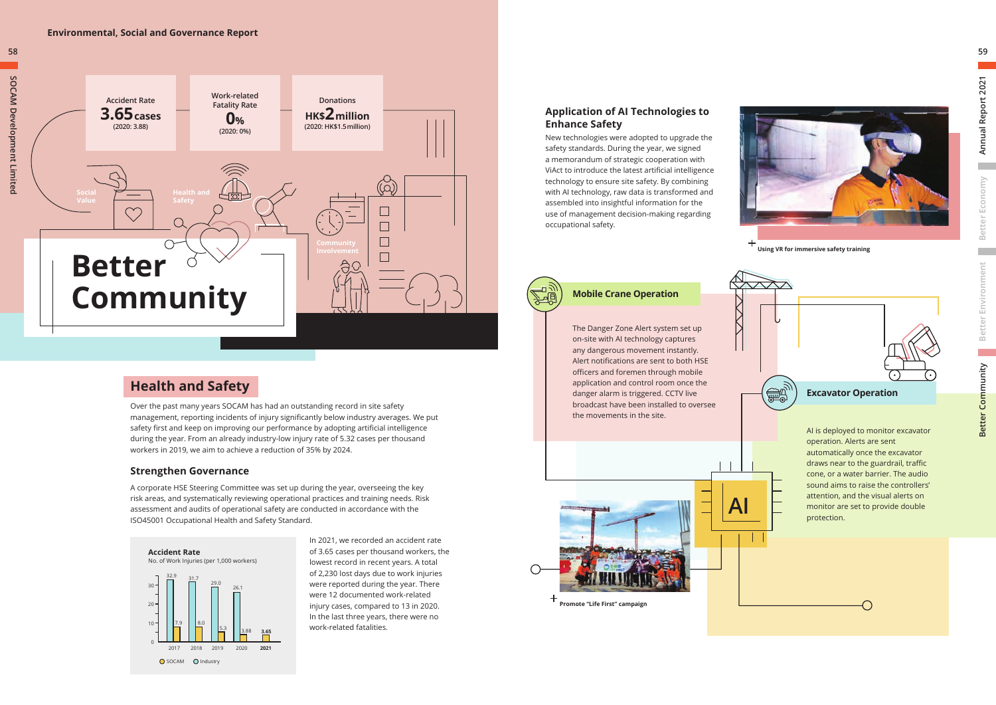

### **Health and Safety**

Over the past many years SOCAM has had an outstanding record in site safety management, reporting incidents of injury significantly below industry averages. We put safety first and keep on improving our performance by adopting artificial intelligence during the year. From an already industry-low injury rate of 5.32 cases per thousand workers in 2019, we aim to achieve a reduction of 35% by 2024.

### **Strengthen Governance**

A corporate HSE Steering Committee was set up during the year, overseeing the key risk areas, and systematically reviewing operational practices and training needs. Risk assessment and audits of operational safety are conducted in accordance with the ISO45001 Occupational Health and Safety Standard.



In 2021, we recorded an accident rate of 3.65 cases per thousand workers, the lowest record in recent years. A total of 2,230 lost days due to work injuries were reported during the year. There were 12 documented work-related injury cases, compared to 13 in 2020. In the last three years, there were no work-related fatalities.

#### **Environmental, Social and Governance Report**

**AI**

The Danger Zone Alert system set up on-site with AI technology captures any dangerous movement instantly. Alert notifications are sent to both HSE officers and foremen through mobile application and control room once the danger alarm is triggered. CCTV live broadcast have been installed to oversee the movements in the site.

#### **Mobile Crane Operation**





### **Application of AI Technologies to Enhance Safety**

New technologies were adopted to upgrade the safety standards. During the year, we signed a memorandum of strategic cooperation with ViAct to introduce the latest artificial intelligence technology to ensure site safety. By combining with AI technology, raw data is transformed and assembled into insightful information for the use of management decision-making regarding occupational safety.







**Using VR for immersive safety training**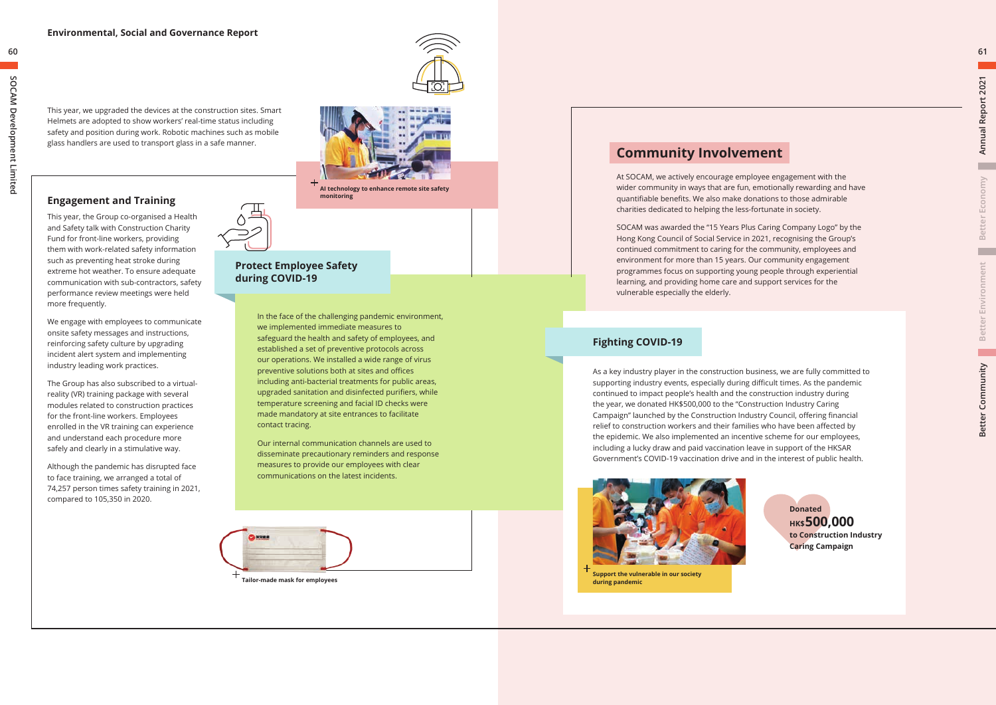**Tailor-made mask for employees**

In the face of the challenging pandemic environment, we implemented immediate measures to safeguard the health and safety of employees, and established a set of preventive protocols across our operations. We installed a wide range of virus preventive solutions both at sites and offices including anti-bacterial treatments for public areas, upgraded sanitation and disinfected purifiers, while temperature screening and facial ID checks were made mandatory at site entrances to facilitate contact tracing.

Our internal communication channels are used to disseminate precautionary reminders and response measures to provide our employees with clear communications on the latest incidents.



### **Protect Employee Safety during COVID-19**



We engage with employees to communicate onsite safety messages and instructions, reinforcing safety culture by upgrading incident alert system and implementing industry leading work practices.

The Group has also subscribed to a virtualreality (VR) training package with several modules related to construction practices for the front-line workers. Employees enrolled in the VR training can experience and understand each procedure more safely and clearly in a stimulative way.

Although the pandemic has disrupted face to face training, we arranged a total of 74,257 person times safety training in 2021, compared to 105,350 in 2020.

This year, we upgraded the devices at the construction sites. Smart Helmets are adopted to show workers' real-time status including safety and position during work. Robotic machines such as mobile glass handlers are used to transport glass in a safe manner.



**AI technology to enhance remote site safety monitoring**

**60**



**Support the vulnerable in our society during pandemic**

As a key industry player in the construction business, we are fully committed to supporting industry events, especially during difficult times. As the pandemic continued to impact people's health and the construction industry during the year, we donated HK\$500,000 to the "Construction Industry Caring Campaign" launched by the Construction Industry Council, offering financial relief to construction workers and their families who have been affected by the epidemic. We also implemented an incentive scheme for our employees, including a lucky draw and paid vaccination leave in support of the HKSAR Government's COVID-19 vaccination drive and in the interest of public health.

### **Fighting COVID-19**

### **Community Involvement**

At SOCAM, we actively encourage employee engagement with the wider community in ways that are fun, emotionally rewarding and have quantifiable benefits. We also make donations to those admirable charities dedicated to helping the less-fortunate in society.

SOCAM was awarded the "15 Years Plus Caring Company Logo" by the Hong Kong Council of Social Service in 2021, recognising the Group's continued commitment to caring for the community, employees and environment for more than 15 years. Our community engagement programmes focus on supporting young people through experiential learning, and providing home care and support services for the vulnerable especially the elderly.



**61**

**Better Economy**

Better Economy

▬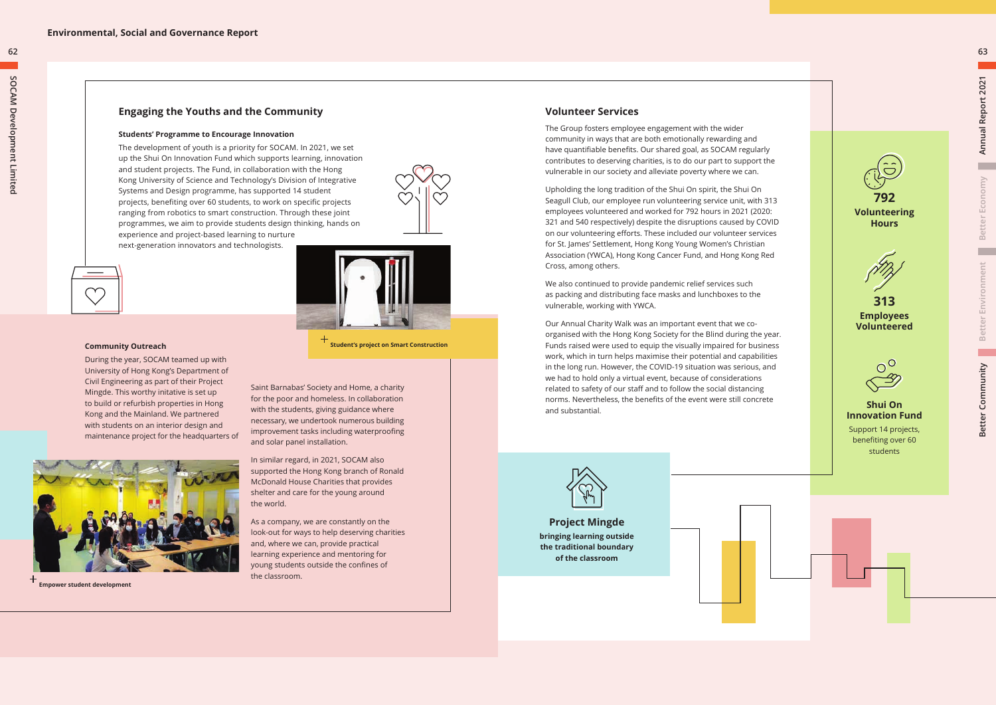**Student's project on Smart Construction**



**Empower student development** 

### **Engaging the Youths and the Community**

#### **Students' Programme to Encourage Innovation**

The development of youth is a priority for SOCAM. In 2021, we set up the Shui On Innovation Fund which supports learning, innovation and student projects. The Fund, in collaboration with the Hong Kong University of Science and Technology's Division of Integrative Systems and Design programme, has supported 14 student projects, benefiting over 60 students, to work on specific projects ranging from robotics to smart construction. Through these joint programmes, we aim to provide students design thinking, hands on experience and project-based learning to nurture next-generation innovators and technologists.



#### **Community Outreach**

During the year, SOCAM teamed up with University of Hong Kong's Department of Civil Engineering as part of their Project Mingde. This worthy initative is set up to build or refurbish properties in Hong Kong and the Mainland. We partnered with students on an interior design and maintenance project for the headquarters of

Saint Barnabas' Society and Home, a charity for the poor and homeless. In collaboration with the students, giving guidance where necessary, we undertook numerous building improvement tasks including waterproofing and solar panel installation.

In similar regard, in 2021, SOCAM also supported the Hong Kong branch of Ronald McDonald House Charities that provides shelter and care for the young around the world.

As a company, we are constantly on the look-out for ways to help deserving charities and, where we can, provide practical learning experience and mentoring for young students outside the confines of the classroom.

**62**



**Shui On Innovation Fund** Support 14 projects,

benefiting over 60 students

### **Volunteer Services**

The Group fosters employee engagement with the wider community in ways that are both emotionally rewarding and have quantifiable benefits. Our shared goal, as SOCAM regularly contributes to deserving charities, is to do our part to support the vulnerable in our society and alleviate poverty where we can.

Upholding the long tradition of the Shui On spirit, the Shui On Seagull Club, our employee run volunteering service unit, with 313 employees volunteered and worked for 792 hours in 2021 (2020: 321 and 540 respectively) despite the disruptions caused by COVID on our volunteering efforts. These included our volunteer services for St. James' Settlement, Hong Kong Young Women's Christian Association (YWCA), Hong Kong Cancer Fund, and Hong Kong Red Cross, among others.

We also continued to provide pandemic relief services such as packing and distributing face masks and lunchboxes to the vulnerable, working with YWCA.

Our Annual Charity Walk was an important event that we coorganised with the Hong Kong Society for the Blind during the year. Funds raised were used to equip the visually impaired for business work, which in turn helps maximise their potential and capabilities in the long run. However, the COVID-19 situation was serious, and we had to hold only a virtual event, because of considerations related to safety of our staff and to follow the social distancing norms. Nevertheless, the benefits of the event were still concrete and substantial .



**Project Mingde bringing learning outside the traditional boundary of the classroom**





**63**

m

п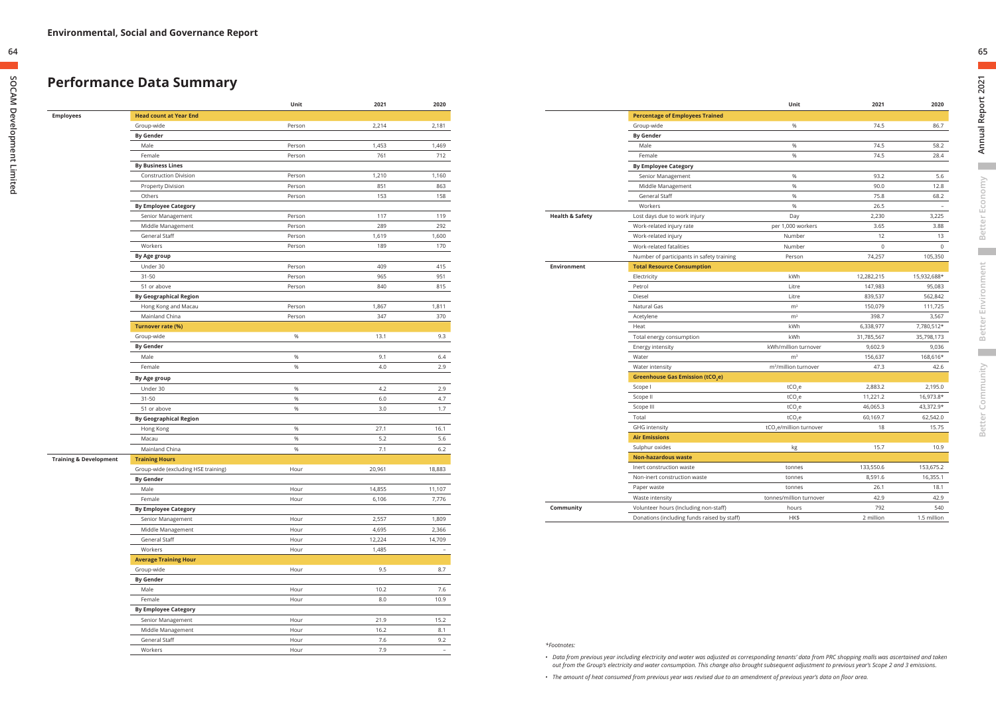### **Performance Data Summary**

|                                   |                                     | Unit   | 2021   | 2020                     |
|-----------------------------------|-------------------------------------|--------|--------|--------------------------|
| <b>Employees</b>                  | <b>Head count at Year End</b>       |        |        |                          |
|                                   | Group-wide                          | Person | 2,214  | 2,181                    |
|                                   | <b>By Gender</b>                    |        |        |                          |
|                                   | Male                                | Person | 1,453  | 1,469                    |
|                                   | Female                              | Person | 761    | 712                      |
|                                   | <b>By Business Lines</b>            |        |        |                          |
|                                   | <b>Construction Division</b>        | Person | 1,210  | 1,160                    |
|                                   | <b>Property Division</b>            | Person | 851    | 863                      |
|                                   | Others                              | Person | 153    | 158                      |
|                                   | <b>By Employee Category</b>         |        |        |                          |
|                                   | Senior Management                   | Person | 117    | 119                      |
|                                   | Middle Management                   | Person | 289    | 292                      |
|                                   | General Staff                       | Person | 1,619  | 1,600                    |
|                                   | Workers                             | Person | 189    | 170                      |
|                                   | By Age group                        |        |        |                          |
|                                   | Under 30                            | Person | 409    | 415                      |
|                                   | 31-50                               | Person | 965    | 951                      |
|                                   | 51 or above                         | Person | 840    | 815                      |
|                                   | <b>By Geographical Region</b>       |        |        |                          |
|                                   | Hong Kong and Macau                 | Person | 1,867  | 1,811                    |
|                                   | Mainland China                      | Person | 347    | 370                      |
|                                   | <b>Turnover rate (%)</b>            |        |        |                          |
|                                   | Group-wide                          | $\%$   | 13.1   | 9.3                      |
|                                   | <b>By Gender</b>                    |        |        |                          |
|                                   | Male                                | $\%$   | 9.1    | 6.4                      |
|                                   | Female                              | $\%$   | 4.0    | 2.9                      |
|                                   | By Age group                        |        |        |                          |
|                                   | Under 30                            | $\%$   | 4.2    | 2.9                      |
|                                   | 31-50                               | $\%$   | 6.0    | 4.7                      |
|                                   | 51 or above                         | $\%$   | 3.0    | 1.7                      |
|                                   | <b>By Geographical Region</b>       |        |        |                          |
|                                   | Hong Kong                           | $\%$   | 27.1   | 16.1                     |
|                                   | Macau                               | $\%$   | 5.2    | 5.6                      |
|                                   | Mainland China                      | $\%$   | 7.1    | 6.2                      |
| <b>Training &amp; Development</b> | <b>Training Hours</b>               |        |        |                          |
|                                   | Group-wide (excluding HSE training) | Hour   | 20,961 | 18,883                   |
|                                   | <b>By Gender</b>                    |        |        |                          |
|                                   | Male                                | Hour   | 14,855 | 11,107                   |
|                                   | Female                              | Hour   | 6,106  | 7,776                    |
|                                   | <b>By Employee Category</b>         |        |        |                          |
|                                   | Senior Management                   | Hour   | 2,557  | 1,809                    |
|                                   | Middle Management                   | Hour   | 4,695  | 2,366                    |
|                                   | General Staff                       | Hour   | 12,224 | 14,709                   |
|                                   | Workers                             | Hour   | 1,485  | $\overline{\phantom{a}}$ |
|                                   | <b>Average Training Hour</b>        |        |        |                          |
|                                   | Group-wide                          | Hour   | 9.5    | 8.7                      |
|                                   | <b>By Gender</b>                    |        |        |                          |
|                                   | Male                                | Hour   | 10.2   | 7.6                      |
|                                   | Female                              | Hour   | 8.0    | 10.9                     |
|                                   | <b>By Employee Category</b>         |        |        |                          |
|                                   | Senior Management                   | Hour   | 21.9   | 15.2                     |
|                                   | Middle Management                   | Hour   | 16.2   | 8.1                      |
|                                   | General Staff                       | Hour   | 7.6    | 9.2                      |
|                                   | Workers                             | Hour   | 7.9    | $\overline{\phantom{a}}$ |

• Data from previous year including electricity and water was adjusted as corresponding tenants' data from PRC shopping malls was ascertained and taken *out from the Group's electricity and water consumption. This change also brought subsequent adjustment to previous year's Scope 2 and 3 emissions.*

# $\mathbb{R}^3$ Annual Report 2021 **Annual Report 2021**

**Better Economy Better Economy**

 $\overline{\phantom{a}}$ 

×,

 $\mathcal{L}^{\text{max}}$ 

|                            |                                              | Unit                                | 2021        | 2020        |
|----------------------------|----------------------------------------------|-------------------------------------|-------------|-------------|
|                            | <b>Percentage of Employees Trained</b>       |                                     |             |             |
|                            | Group-wide                                   | $\%$                                | 74.5        | 86.7        |
|                            | <b>By Gender</b>                             |                                     |             |             |
|                            | Male                                         | $\%$                                | 74.5        | 58.2        |
|                            | Female                                       | $\%$                                | 74.5        | 28.4        |
|                            | <b>By Employee Category</b>                  |                                     |             |             |
|                            | Senior Management                            | $\%$                                | 93.2        | 5.6         |
|                            | Middle Management                            | %                                   | 90.0        | 12.8        |
|                            | General Staff                                | $\%$                                | 75.8        | 68.2        |
|                            | Workers                                      | %                                   | 26.5        |             |
| <b>Health &amp; Safety</b> | Lost days due to work injury                 | Day                                 | 2,230       | 3,225       |
|                            | Work-related injury rate                     | per 1,000 workers                   | 3.65        | 3.88        |
|                            | Work-related injury                          | Number                              | 12          | 13          |
|                            | Work-related fatalities                      | Number                              | $\mathbf 0$ | $\mathbf 0$ |
|                            | Number of participants in safety training    | Person                              | 74,257      | 105,350     |
| <b>Environment</b>         | <b>Total Resource Consumption</b>            |                                     |             |             |
|                            | Electricity                                  | kWh                                 | 12,282,215  | 15,932,688* |
|                            | Petrol                                       | Litre                               | 147,983     | 95,083      |
|                            | Diesel                                       | Litre                               | 839,537     | 562,842     |
|                            | Natural Gas                                  | m <sup>3</sup>                      | 150,079     | 111,725     |
|                            | Acetylene                                    | m <sup>3</sup>                      | 398.7       | 3,567       |
|                            | Heat                                         | kWh                                 | 6,338,977   | 7,780,512*  |
|                            | Total energy consumption                     | kWh                                 | 31,785,567  | 35,798,173  |
|                            | Energy intensity                             | kWh/million turnover                | 9,602.9     | 9,036       |
|                            | Water                                        | m <sup>3</sup>                      | 156,637     | 168,616*    |
|                            | Water intensity                              | m <sup>3</sup> /million turnover    | 47.3        | 42.6        |
|                            | Greenhouse Gas Emission (tCO <sub>,</sub> e) |                                     |             |             |
|                            | Scope I                                      | tCO <sub>se</sub>                   | 2,883.2     | 2,195.0     |
|                            | Scope II                                     | tCO,e                               | 11,221.2    | 16,973.8*   |
|                            | Scope III                                    | tCO,e                               | 46,065.3    | 43,372.9*   |
|                            | Total                                        | tCO <sub>2</sub> e                  | 60,169.7    | 62,542.0    |
|                            | <b>GHG</b> intensity                         | tCO <sub>3</sub> e/million turnover | 18          | 15.75       |
|                            | <b>Air Emissions</b>                         |                                     |             |             |
|                            | Sulphur oxides                               | kg                                  | 15.7        | 10.9        |
|                            | <b>Non-hazardous waste</b>                   |                                     |             |             |
|                            | Inert construction waste                     | tonnes                              | 133,550.6   | 153,675.2   |
|                            | Non-inert construction waste                 | tonnes                              | 8,591.6     | 16,355.1    |
|                            | Paper waste                                  | tonnes                              | 26.1        | 18.1        |
|                            | Waste intensity                              | tonnes/million turnover             | 42.9        | 42.9        |
| Community                  | Volunteer hours (Including non-staff)        | hours                               | 792         | 540         |
|                            | Donations (including funds raised by staff)  | HK\$                                | 2 million   | 1.5 million |

#### *\*Footnotes:*

*• The amount of heat consumed from previous year was revised due to an amendment of previous year's data on floor area.*